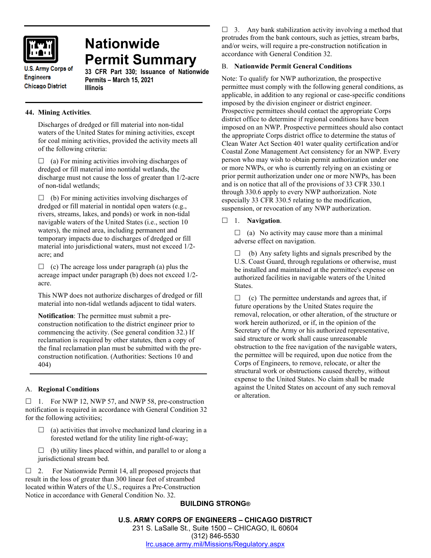

# **Nationwide Permit Summary**

**U.S. Army Corps of Engineers Chicago District** 

**33 CFR Part 330; Issuance of Nationwide Permits – March 15, 2021 Illinois**

# **44. Mining Activities**.

Discharges of dredged or fill material into non-tidal waters of the United States for mining activities, except for coal mining activities, provided the activity meets all of the following criteria:

 $\Box$  (a) For mining activities involving discharges of dredged or fill material into nontidal wetlands, the discharge must not cause the loss of greater than 1/2-acre of non-tidal wetlands;

 $\Box$  (b) For mining activities involving discharges of dredged or fill material in nontidal open waters (e.g., rivers, streams, lakes, and ponds) or work in non-tidal navigable waters of the United States (i.e., section 10 waters), the mined area, including permanent and temporary impacts due to discharges of dredged or fill material into jurisdictional waters, must not exceed 1/2 acre; and

 $\Box$  (c) The acreage loss under paragraph (a) plus the acreage impact under paragraph (b) does not exceed 1/2 acre.

This NWP does not authorize discharges of dredged or fill material into non-tidal wetlands adjacent to tidal waters.

**Notification**: The permittee must submit a preconstruction notification to the district engineer prior to commencing the activity. (See general condition 32.) If reclamation is required by other statutes, then a copy of the final reclamation plan must be submitted with the preconstruction notification. (Authorities: Sections 10 and 404)

## A. **Regional Conditions**

 $\Box$  1. For NWP 12, NWP 57, and NWP 58, pre-construction notification is required in accordance with General Condition 32 for the following activities;

- $\Box$  (a) activities that involve mechanized land clearing in a forested wetland for the utility line right-of-way;
- $\Box$  (b) utility lines placed within, and parallel to or along a jurisdictional stream bed.

 $\Box$  2. For Nationwide Permit 14, all proposed projects that result in the loss of greater than 300 linear feet of streambed located within Waters of the U.S., requires a Pre-Construction Notice in accordance with General Condition No. 32.

 $\Box$  3. Any bank stabilization activity involving a method that protrudes from the bank contours, such as jetties, stream barbs, and/or weirs, will require a pre-construction notification in accordance with General Condition 32.

## B. **Nationwide Permit General Conditions**

Note: To qualify for NWP authorization, the prospective permittee must comply with the following general conditions, as applicable, in addition to any regional or case-specific conditions imposed by the division engineer or district engineer. Prospective permittees should contact the appropriate Corps district office to determine if regional conditions have been imposed on an NWP. Prospective permittees should also contact the appropriate Corps district office to determine the status of Clean Water Act Section 401 water quality certification and/or Coastal Zone Management Act consistency for an NWP. Every person who may wish to obtain permit authorization under one or more NWPs, or who is currently relying on an existing or prior permit authorization under one or more NWPs, has been and is on notice that all of the provisions of 33 CFR 330.1 through 330.6 apply to every NWP authorization. Note especially 33 CFR 330.5 relating to the modification, suspension, or revocation of any NWP authorization.

1. **Navigation**.

 $\Box$  (a) No activity may cause more than a minimal adverse effect on navigation.

 $\Box$  (b) Any safety lights and signals prescribed by the U.S. Coast Guard, through regulations or otherwise, must be installed and maintained at the permittee's expense on authorized facilities in navigable waters of the United States.

 $\Box$  (c) The permittee understands and agrees that, if future operations by the United States require the removal, relocation, or other alteration, of the structure or work herein authorized, or if, in the opinion of the Secretary of the Army or his authorized representative, said structure or work shall cause unreasonable obstruction to the free navigation of the navigable waters, the permittee will be required, upon due notice from the Corps of Engineers, to remove, relocate, or alter the structural work or obstructions caused thereby, without expense to the United States. No claim shall be made against the United States on account of any such removal or alteration.

## **BUILDING STRONG®**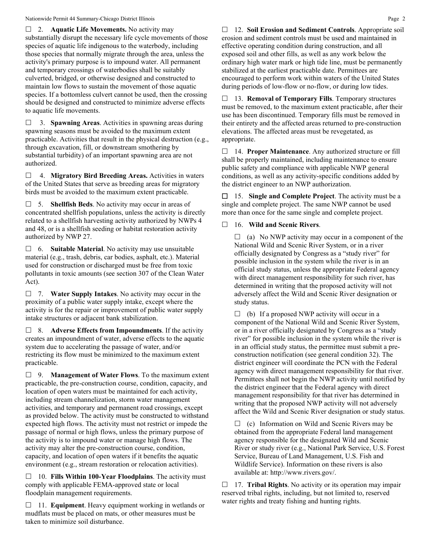2. **Aquatic Life Movements.** No activity may substantially disrupt the necessary life cycle movements of those species of aquatic life indigenous to the waterbody, including those species that normally migrate through the area, unless the activity's primary purpose is to impound water. All permanent and temporary crossings of waterbodies shall be suitably culverted, bridged, or otherwise designed and constructed to maintain low flows to sustain the movement of those aquatic species. If a bottomless culvert cannot be used, then the crossing should be designed and constructed to minimize adverse effects to aquatic life movements.

 3. **Spawning Areas**. Activities in spawning areas during spawning seasons must be avoided to the maximum extent practicable. Activities that result in the physical destruction (e.g., through excavation, fill, or downstream smothering by substantial turbidity) of an important spawning area are not authorized.

 4. **Migratory Bird Breeding Areas.** Activities in waters of the United States that serve as breeding areas for migratory birds must be avoided to the maximum extent practicable.

 5. **Shellfish Beds**. No activity may occur in areas of concentrated shellfish populations, unless the activity is directly related to a shellfish harvesting activity authorized by NWPs 4 and 48, or is a shellfish seeding or habitat restoration activity authorized by NWP 27.

 6. **Suitable Material**. No activity may use unsuitable material (e.g., trash, debris, car bodies, asphalt, etc.). Material used for construction or discharged must be free from toxic pollutants in toxic amounts (see section 307 of the Clean Water Act).

 7. **Water Supply Intakes**. No activity may occur in the proximity of a public water supply intake, except where the activity is for the repair or improvement of public water supply intake structures or adjacent bank stabilization.

 8. **Adverse Effects from Impoundments**. If the activity creates an impoundment of water, adverse effects to the aquatic system due to accelerating the passage of water, and/or restricting its flow must be minimized to the maximum extent practicable.

 9. **Management of Water Flows**. To the maximum extent practicable, the pre-construction course, condition, capacity, and location of open waters must be maintained for each activity, including stream channelization, storm water management activities, and temporary and permanent road crossings, except as provided below. The activity must be constructed to withstand expected high flows. The activity must not restrict or impede the passage of normal or high flows, unless the primary purpose of the activity is to impound water or manage high flows. The activity may alter the pre-construction course, condition, capacity, and location of open waters if it benefits the aquatic environment (e.g., stream restoration or relocation activities).

 10. **Fills Within 100-Year Floodplains**. The activity must comply with applicable FEMA-approved state or local floodplain management requirements.

□ 11. **Equipment**. Heavy equipment working in wetlands or mudflats must be placed on mats, or other measures must be taken to minimize soil disturbance.

 12. **Soil Erosion and Sediment Controls**. Appropriate soil erosion and sediment controls must be used and maintained in effective operating condition during construction, and all exposed soil and other fills, as well as any work below the ordinary high water mark or high tide line, must be permanently stabilized at the earliest practicable date. Permittees are encouraged to perform work within waters of the United States during periods of low-flow or no-flow, or during low tides.

 13. **Removal of Temporary Fills**. Temporary structures must be removed, to the maximum extent practicable, after their use has been discontinued. Temporary fills must be removed in their entirety and the affected areas returned to pre-construction elevations. The affected areas must be revegetated, as appropriate.

 14. **Proper Maintenance**. Any authorized structure or fill shall be properly maintained, including maintenance to ensure public safety and compliance with applicable NWP general conditions, as well as any activity-specific conditions added by the district engineer to an NWP authorization.

 15. **Single and Complete Project**. The activity must be a single and complete project. The same NWP cannot be used more than once for the same single and complete project.

## 16. **Wild and Scenic Rivers**.

 $\Box$  (a) No NWP activity may occur in a component of the National Wild and Scenic River System, or in a river officially designated by Congress as a "study river" for possible inclusion in the system while the river is in an official study status, unless the appropriate Federal agency with direct management responsibility for such river, has determined in writing that the proposed activity will not adversely affect the Wild and Scenic River designation or study status.

 $\Box$  (b) If a proposed NWP activity will occur in a component of the National Wild and Scenic River System, or in a river officially designated by Congress as a "study river" for possible inclusion in the system while the river is in an official study status, the permittee must submit a preconstruction notification (see general condition 32). The district engineer will coordinate the PCN with the Federal agency with direct management responsibility for that river. Permittees shall not begin the NWP activity until notified by the district engineer that the Federal agency with direct management responsibility for that river has determined in writing that the proposed NWP activity will not adversely affect the Wild and Scenic River designation or study status.

 $\Box$  (c) Information on Wild and Scenic Rivers may be obtained from the appropriate Federal land management agency responsible for the designated Wild and Scenic River or study river (e.g., National Park Service, U.S. Forest Service, Bureau of Land Management, U.S. Fish and Wildlife Service). Information on these rivers is also available at: http://www.rivers.gov/.

 17. **Tribal Rights**. No activity or its operation may impair reserved tribal rights, including, but not limited to, reserved water rights and treaty fishing and hunting rights.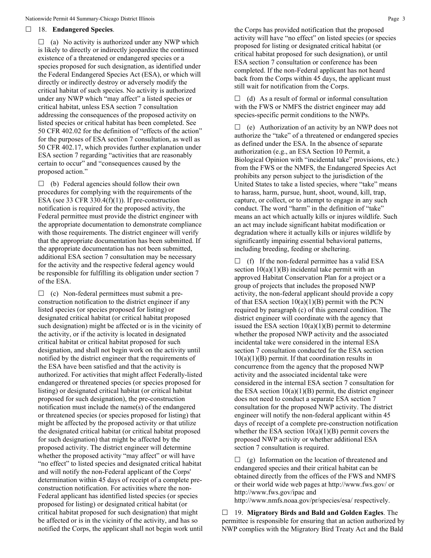#### 18. **Endangered Species**.

 $\Box$  (a) No activity is authorized under any NWP which is likely to directly or indirectly jeopardize the continued existence of a threatened or endangered species or a species proposed for such designation, as identified under the Federal Endangered Species Act (ESA), or which will directly or indirectly destroy or adversely modify the critical habitat of such species. No activity is authorized under any NWP which "may affect" a listed species or critical habitat, unless ESA section 7 consultation addressing the consequences of the proposed activity on listed species or critical habitat has been completed. See 50 CFR 402.02 for the definition of "effects of the action" for the purposes of ESA section 7 consultation, as well as 50 CFR 402.17, which provides further explanation under ESA section 7 regarding "activities that are reasonably certain to occur" and "consequences caused by the proposed action."

 $\Box$  (b) Federal agencies should follow their own procedures for complying with the requirements of the ESA (see 33 CFR 330.4 $(f)(1)$ ). If pre-construction notification is required for the proposed activity, the Federal permittee must provide the district engineer with the appropriate documentation to demonstrate compliance with those requirements. The district engineer will verify that the appropriate documentation has been submitted. If the appropriate documentation has not been submitted, additional ESA section 7 consultation may be necessary for the activity and the respective federal agency would be responsible for fulfilling its obligation under section 7 of the ESA.

 $\Box$  (c) Non-federal permittees must submit a preconstruction notification to the district engineer if any listed species (or species proposed for listing) or designated critical habitat (or critical habitat proposed such designation) might be affected or is in the vicinity of the activity, or if the activity is located in designated critical habitat or critical habitat proposed for such designation, and shall not begin work on the activity until notified by the district engineer that the requirements of the ESA have been satisfied and that the activity is authorized. For activities that might affect Federally-listed endangered or threatened species (or species proposed for listing) or designated critical habitat (or critical habitat proposed for such designation), the pre-construction notification must include the name(s) of the endangered or threatened species (or species proposed for listing) that might be affected by the proposed activity or that utilize the designated critical habitat (or critical habitat proposed for such designation) that might be affected by the proposed activity. The district engineer will determine whether the proposed activity "may affect" or will have "no effect" to listed species and designated critical habitat and will notify the non-Federal applicant of the Corps' determination within 45 days of receipt of a complete preconstruction notification. For activities where the non-Federal applicant has identified listed species (or species proposed for listing) or designated critical habitat (or critical habitat proposed for such designation) that might be affected or is in the vicinity of the activity, and has so notified the Corps, the applicant shall not begin work until the Corps has provided notification that the proposed activity will have "no effect" on listed species (or species proposed for listing or designated critical habitat (or critical habitat proposed for such designation), or until ESA section 7 consultation or conference has been completed. If the non-Federal applicant has not heard back from the Corps within 45 days, the applicant must still wait for notification from the Corps.

 $\Box$  (d) As a result of formal or informal consultation with the FWS or NMFS the district engineer may add species-specific permit conditions to the NWPs.

 $\Box$  (e) Authorization of an activity by an NWP does not authorize the "take" of a threatened or endangered species as defined under the ESA. In the absence of separate authorization (e.g., an ESA Section 10 Permit, a Biological Opinion with "incidental take" provisions, etc.) from the FWS or the NMFS, the Endangered Species Act prohibits any person subject to the jurisdiction of the United States to take a listed species, where "take" means to harass, harm, pursue, hunt, shoot, wound, kill, trap, capture, or collect, or to attempt to engage in any such conduct. The word "harm" in the definition of "take" means an act which actually kills or injures wildlife. Such an act may include significant habitat modification or degradation where it actually kills or injures wildlife by significantly impairing essential behavioral patterns, including breeding, feeding or sheltering.

 $\Box$  (f) If the non-federal permittee has a valid ESA section  $10(a)(1)(B)$  incidental take permit with an approved Habitat Conservation Plan for a project or a group of projects that includes the proposed NWP activity, the non-federal applicant should provide a copy of that ESA section  $10(a)(1)(B)$  permit with the PCN required by paragraph (c) of this general condition. The district engineer will coordinate with the agency that issued the ESA section  $10(a)(1)(B)$  permit to determine whether the proposed NWP activity and the associated incidental take were considered in the internal ESA section 7 consultation conducted for the ESA section  $10(a)(1)(B)$  permit. If that coordination results in concurrence from the agency that the proposed NWP activity and the associated incidental take were considered in the internal ESA section 7 consultation for the ESA section  $10(a)(1)(B)$  permit, the district engineer does not need to conduct a separate ESA section 7 consultation for the proposed NWP activity. The district engineer will notify the non-federal applicant within 45 days of receipt of a complete pre-construction notification whether the ESA section  $10(a)(1)(B)$  permit covers the proposed NWP activity or whether additional ESA section 7 consultation is required.

 $\Box$  (g) Information on the location of threatened and endangered species and their critical habitat can be obtained directly from the offices of the FWS and NMFS or their world wide web pages at http://www.fws.gov/ or http://www.fws.gov/ipac and

http://www.nmfs.noaa.gov/pr/species/esa/ respectively.

 19. **Migratory Birds and Bald and Golden Eagles**. The permittee is responsible for ensuring that an action authorized by NWP complies with the Migratory Bird Treaty Act and the Bald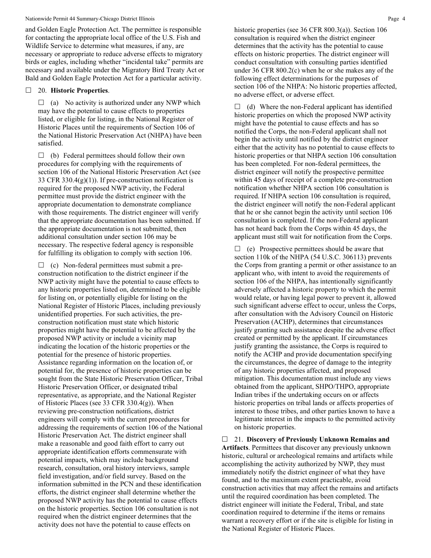and Golden Eagle Protection Act. The permittee is responsible for contacting the appropriate local office of the U.S. Fish and Wildlife Service to determine what measures, if any, are necessary or appropriate to reduce adverse effects to migratory birds or eagles, including whether "incidental take" permits are necessary and available under the Migratory Bird Treaty Act or Bald and Golden Eagle Protection Act for a particular activity.

#### 20. **Historic Properties**.

 $\Box$  (a) No activity is authorized under any NWP which may have the potential to cause effects to properties listed, or eligible for listing, in the National Register of Historic Places until the requirements of Section 106 of the National Historic Preservation Act (NHPA) have been satisfied.

 $\Box$  (b) Federal permittees should follow their own procedures for complying with the requirements of section 106 of the National Historic Preservation Act (see 33 CFR 330.4(g)(1)). If pre-construction notification is required for the proposed NWP activity, the Federal permittee must provide the district engineer with the appropriate documentation to demonstrate compliance with those requirements. The district engineer will verify that the appropriate documentation has been submitted. If the appropriate documentation is not submitted, then additional consultation under section 106 may be necessary. The respective federal agency is responsible for fulfilling its obligation to comply with section 106.

 $\Box$  (c) Non-federal permittees must submit a preconstruction notification to the district engineer if the NWP activity might have the potential to cause effects to any historic properties listed on, determined to be eligible for listing on, or potentially eligible for listing on the National Register of Historic Places, including previously unidentified properties. For such activities, the preconstruction notification must state which historic properties might have the potential to be affected by the proposed NWP activity or include a vicinity map indicating the location of the historic properties or the potential for the presence of historic properties. Assistance regarding information on the location of, or potential for, the presence of historic properties can be sought from the State Historic Preservation Officer, Tribal Historic Preservation Officer, or designated tribal representative, as appropriate, and the National Register of Historic Places (see 33 CFR 330.4(g)). When reviewing pre-construction notifications, district engineers will comply with the current procedures for addressing the requirements of section 106 of the National Historic Preservation Act. The district engineer shall make a reasonable and good faith effort to carry out appropriate identification efforts commensurate with potential impacts, which may include background research, consultation, oral history interviews, sample field investigation, and/or field survey. Based on the information submitted in the PCN and these identification efforts, the district engineer shall determine whether the proposed NWP activity has the potential to cause effects on the historic properties. Section 106 consultation is not required when the district engineer determines that the activity does not have the potential to cause effects on

historic properties (see 36 CFR 800.3(a)). Section 106 consultation is required when the district engineer determines that the activity has the potential to cause effects on historic properties. The district engineer will conduct consultation with consulting parties identified under 36 CFR 800.2(c) when he or she makes any of the following effect determinations for the purposes of section 106 of the NHPA: No historic properties affected, no adverse effect, or adverse effect.

 $\Box$  (d) Where the non-Federal applicant has identified historic properties on which the proposed NWP activity might have the potential to cause effects and has so notified the Corps, the non-Federal applicant shall not begin the activity until notified by the district engineer either that the activity has no potential to cause effects to historic properties or that NHPA section 106 consultation has been completed. For non-federal permittees, the district engineer will notify the prospective permittee within 45 days of receipt of a complete pre-construction notification whether NHPA section 106 consultation is required. If NHPA section 106 consultation is required, the district engineer will notify the non-Federal applicant that he or she cannot begin the activity until section 106 consultation is completed. If the non-Federal applicant has not heard back from the Corps within 45 days, the applicant must still wait for notification from the Corps.

 $\Box$  (e) Prospective permittees should be aware that section 110k of the NHPA (54 U.S.C. 306113) prevents the Corps from granting a permit or other assistance to an applicant who, with intent to avoid the requirements of section 106 of the NHPA, has intentionally significantly adversely affected a historic property to which the permit would relate, or having legal power to prevent it, allowed such significant adverse effect to occur, unless the Corps, after consultation with the Advisory Council on Historic Preservation (ACHP), determines that circumstances justify granting such assistance despite the adverse effect created or permitted by the applicant. If circumstances justify granting the assistance, the Corps is required to notify the ACHP and provide documentation specifying the circumstances, the degree of damage to the integrity of any historic properties affected, and proposed mitigation. This documentation must include any views obtained from the applicant, SHPO/THPO, appropriate Indian tribes if the undertaking occurs on or affects historic properties on tribal lands or affects properties of interest to those tribes, and other parties known to have a legitimate interest in the impacts to the permitted activity on historic properties.

 21. **Discovery of Previously Unknown Remains and Artifacts**. Permittees that discover any previously unknown historic, cultural or archeological remains and artifacts while accomplishing the activity authorized by NWP, they must immediately notify the district engineer of what they have found, and to the maximum extent practicable, avoid construction activities that may affect the remains and artifacts until the required coordination has been completed. The district engineer will initiate the Federal, Tribal, and state coordination required to determine if the items or remains warrant a recovery effort or if the site is eligible for listing in the National Register of Historic Places.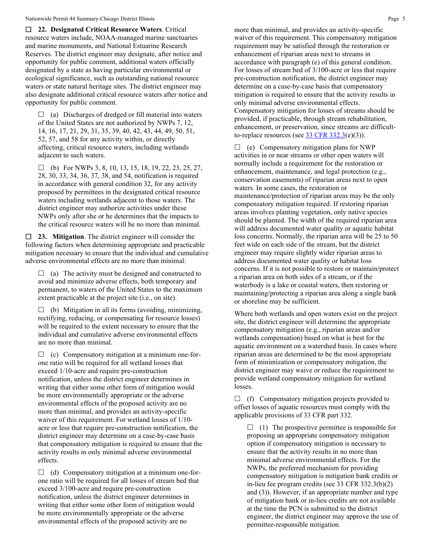**22. Designated Critical Resource Waters**. Critical resource waters include, NOAA-managed marine sanctuaries and marine monuments, and National Estuarine Research Reserves. The district engineer may designate, after notice and opportunity for public comment, additional waters officially designated by a state as having particular environmental or ecological significance, such as outstanding national resource waters or state natural heritage sites. The district engineer may also designate additional critical resource waters after notice and opportunity for public comment.

 $\Box$  (a) Discharges of dredged or fill material into waters of the United States are not authorized by NWPs 7, 12, 14, 16, 17, 21, 29, 31, 35, 39, 40, 42, 43, 44, 49, 50, 51, 52, 57, and 58 for any activity within, or directly affecting, critical resource waters, including wetlands adjacent to such waters.

 $\Box$  (b) For NWPs 3, 8, 10, 13, 15, 18, 19, 22, 23, 25, 27, 28, 30, 33, 34, 36, 37, 38, and 54, notification is required in accordance with general condition 32, for any activity proposed by permittees in the designated critical resource waters including wetlands adjacent to those waters. The district engineer may authorize activities under these NWPs only after she or he determines that the impacts to the critical resource waters will be no more than minimal.

 **23. Mitigation**. The district engineer will consider the following factors when determining appropriate and practicable mitigation necessary to ensure that the individual and cumulative adverse environmental effects are no more than minimal:

 $\Box$  (a) The activity must be designed and constructed to avoid and minimize adverse effects, both temporary and permanent, to waters of the United States to the maximum extent practicable at the project site (i.e., on site).

 $\Box$  (b) Mitigation in all its forms (avoiding, minimizing, rectifying, reducing, or compensating for resource losses) will be required to the extent necessary to ensure that the individual and cumulative adverse environmental effects are no more than minimal.

 $\Box$  (c) Compensatory mitigation at a minimum one-forone ratio will be required for all wetland losses that exceed 1/10-acre and require pre-construction notification, unless the district engineer determines in writing that either some other form of mitigation would be more environmentally appropriate or the adverse environmental effects of the proposed activity are no more than minimal, and provides an activity-specific waiver of this requirement. For wetland losses of 1/10 acre or less that require pre-construction notification, the district engineer may determine on a case-by-case basis that compensatory mitigation is required to ensure that the activity results in only minimal adverse environmental effects.

 $\Box$  (d) Compensatory mitigation at a minimum one-forone ratio will be required for all losses of stream bed that exceed 3/100-acre and require pre-construction notification, unless the district engineer determines in writing that either some other form of mitigation would be more environmentally appropriate or the adverse environmental effects of the proposed activity are no

more than minimal, and provides an activity-specific waiver of this requirement. This compensatory mitigation requirement may be satisfied through the restoration or enhancement of riparian areas next to streams in accordance with paragraph (e) of this general condition. For losses of stream bed of 3/100-acre or less that require pre-construction notification, the district engineer may determine on a case-by-case basis that compensatory mitigation is required to ensure that the activity results in only minimal adverse environmental effects. Compensatory mitigation for losses of streams should be provided, if practicable, through stream rehabilitation, enhancement, or preservation, since streams are difficultto-replace resources (see  $\frac{33 \text{ CFR } 332.3(e)(3)}{25}$ .

 $\Box$  (e) Compensatory mitigation plans for NWP activities in or near streams or other open waters will normally include a requirement for the restoration or enhancement, maintenance, and legal protection (e.g., conservation easements) of riparian areas next to open waters. In some cases, the restoration or maintenance/protection of riparian areas may be the only compensatory mitigation required. If restoring riparian areas involves planting vegetation, only native species should be planted. The width of the required riparian area will address documented water quality or aquatic habitat loss concerns. Normally, the riparian area will be 25 to 50 feet wide on each side of the stream, but the district engineer may require slightly wider riparian areas to address documented water quality or habitat loss concerns. If it is not possible to restore or maintain/protect a riparian area on both sides of a stream, or if the waterbody is a lake or coastal waters, then restoring or maintaining/protecting a riparian area along a single bank or shoreline may be sufficient.

Where both wetlands and open waters exist on the project site, the district engineer will determine the appropriate compensatory mitigation (e.g., riparian areas and/or wetlands compensation) based on what is best for the aquatic environment on a watershed basis. In cases where riparian areas are determined to be the most appropriate form of minimization or compensatory mitigation, the district engineer may waive or reduce the requirement to provide wetland compensatory mitigation for wetland losses.

 $\Box$  (f) Compensatory mitigation projects provided to offset losses of aquatic resources must comply with the applicable provisions of 33 CFR part 332.

 $\Box$  (1) The prospective permittee is responsible for proposing an appropriate compensatory mitigation option if compensatory mitigation is necessary to ensure that the activity results in no more than minimal adverse environmental effects. For the NWPs, the preferred mechanism for providing compensatory mitigation is mitigation bank credits or in-lieu fee program credits (see 33 CFR 332.3(b)(2) and (3)). However, if an appropriate number and type of mitigation bank or in-lieu credits are not available at the time the PCN is submitted to the district engineer, the district engineer may approve the use of permittee-responsible mitigation.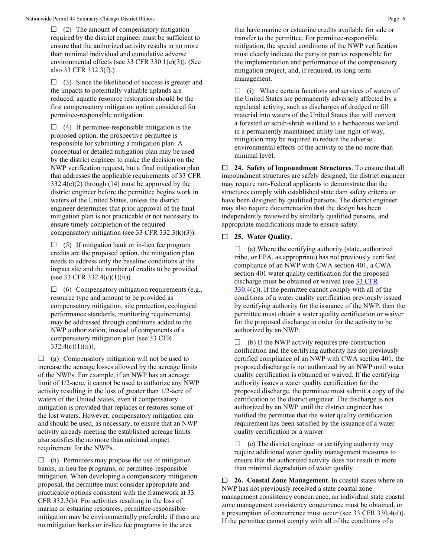$\Box$  (2) The amount of compensatory mitigation required by the district engineer must be sufficient to ensure that the authorized activity results in no more than minimal individual and cumulative adverse environmental effects (see 33 CFR 330.1(e)(3)). (See also 33 CFR 332.3(f).)

 $\Box$  (3) Since the likelihood of success is greater and the impacts to potentially valuable uplands are reduced, aquatic resource restoration should be the first compensatory mitigation option considered for permittee-responsible mitigation.

 $\Box$  (4) If permittee-responsible mitigation is the proposed option, the prospective permittee is responsible for submitting a mitigation plan. A conceptual or detailed mitigation plan may be used by the district engineer to make the decision on the NWP verification request, but a final mitigation plan that addresses the applicable requirements of 33 CFR  $332.4(c)(2)$  through (14) must be approved by the district engineer before the permittee begins work in waters of the United States, unless the district engineer determines that prior approval of the final mitigation plan is not practicable or not necessary to ensure timely completion of the required compensatory mitigation (see 33 CFR 332.3(k)(3)).

 $\Box$  (5) If mitigation bank or in-lieu fee program credits are the proposed option, the mitigation plan needs to address only the baseline conditions at the impact site and the number of credits to be provided (see 33 CFR 332.4(c)(1)(ii)).

 $\Box$  (6) Compensatory mitigation requirements (e.g., resource type and amount to be provided as compensatory mitigation, site protection, ecological performance standards, monitoring requirements) may be addressed through conditions added to the NWP authorization, instead of components of a compensatory mitigation plan (see 33 CFR  $332.4(c)(1)(ii)$ ).

 $\Box$  (g) Compensatory mitigation will not be used to increase the acreage losses allowed by the acreage limits of the NWPs. For example, if an NWP has an acreage limit of 1/2-acre, it cannot be used to authorize any NWP activity resulting in the loss of greater than 1/2-acre of waters of the United States, even if compensatory mitigation is provided that replaces or restores some of the lost waters. However, compensatory mitigation can and should be used, as necessary, to ensure that an NWP activity already meeting the established acreage limits also satisfies the no more than minimal impact requirement for the NWPs.

 $\Box$  (h) Permittees may propose the use of mitigation banks, in-lieu fee programs, or permittee-responsible mitigation. When developing a compensatory mitigation proposal, the permittee must consider appropriate and practicable options consistent with the framework at 33 CFR 332.3(b). For activities resulting in the loss of marine or estuarine resources, permittee-responsible mitigation may be environmentally preferable if there are no mitigation banks or in-lieu fee programs in the area

that have marine or estuarine credits available for sale or transfer to the permittee. For permittee-responsible mitigation, the special conditions of the NWP verification must clearly indicate the party or parties responsible for the implementation and performance of the compensatory mitigation project, and, if required, its long-term management.

 $\Box$  (i) Where certain functions and services of waters of the United States are permanently adversely affected by a regulated activity, such as discharges of dredged or fill material into waters of the United States that will convert a forested or scrub-shrub wetland to a herbaceous wetland in a permanently maintained utility line right-of-way, mitigation may be required to reduce the adverse environmental effects of the activity to the no more than minimal level.

 **24. Safety of Impoundment Structures**. To ensure that all impoundment structures are safely designed, the district engineer may require non-Federal applicants to demonstrate that the structures comply with established state dam safety criteria or have been designed by qualified persons. The district engineer may also require documentation that the design has been independently reviewed by similarly qualified persons, and appropriate modifications made to ensure safety.

## **25. Water Quality**.

 $\Box$  (a) Where the certifying authority (state, authorized tribe, or EPA, as appropriate) has not previously certified compliance of an NWP with CWA section 401, a CWA section 401 water quality certification for the proposed discharge must be obtained or waived (see 33 CFR  $330.4(c)$  $330.4(c)$ ). If the permittee cannot comply with all of the conditions of a water quality certification previously issued by certifying authority for the issuance of the NWP, then the permittee must obtain a water quality certification or waiver for the proposed discharge in order for the activity to be authorized by an NWP.

 $\Box$  (b) If the NWP activity requires pre-construction notification and the certifying authority has not previously certified compliance of an NWP with CWA section 401, the proposed discharge is not authorized by an NWP until water quality certification is obtained or waived. If the certifying authority issues a water quality certification for the proposed discharge, the permittee must submit a copy of the certification to the district engineer. The discharge is not authorized by an NWP until the district engineer has notified the permittee that the water quality certification requirement has been satisfied by the issuance of a water quality certification or a waiver.

 $\Box$  (c) The district engineer or certifying authority may require additional water quality management measures to ensure that the authorized activity does not result in more than minimal degradation of water quality.

 **26. Coastal Zone Management**. In coastal states where an NWP has not previously received a state coastal zone management consistency concurrence, an individual state coastal zone management consistency concurrence must be obtained, or a presumption of concurrence must occur (see 33 CFR 330.4(d)). If the permittee cannot comply with all of the conditions of a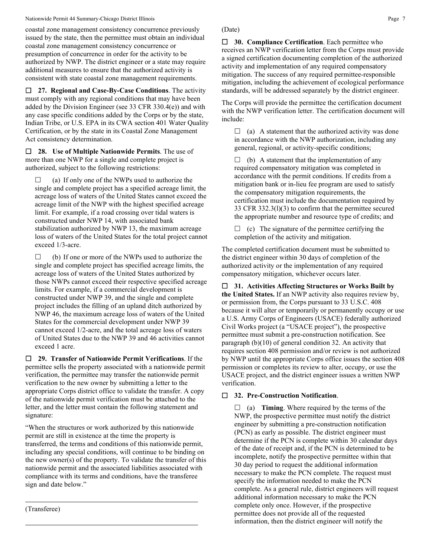coastal zone management consistency concurrence previously issued by the state, then the permittee must obtain an individual coastal zone management consistency concurrence or presumption of concurrence in order for the activity to be authorized by NWP. The district engineer or a state may require additional measures to ensure that the authorized activity is consistent with state coastal zone management requirements.

 **27. Regional and Case-By-Case Conditions**. The activity must comply with any regional conditions that may have been added by the Division Engineer (see 33 CFR 330.4(e)) and with any case specific conditions added by the Corps or by the state, Indian Tribe, or U.S. EPA in its CWA section 401 Water Quality Certification, or by the state in its Coastal Zone Management Act consistency determination.

 **28. Use of Multiple Nationwide Permits**. The use of more than one NWP for a single and complete project is authorized, subject to the following restrictions:

 $\Box$  (a) If only one of the NWPs used to authorize the single and complete project has a specified acreage limit, the acreage loss of waters of the United States cannot exceed the acreage limit of the NWP with the highest specified acreage limit. For example, if a road crossing over tidal waters is constructed under NWP 14, with associated bank stabilization authorized by NWP 13, the maximum acreage loss of waters of the United States for the total project cannot exceed 1/3-acre.

 $\Box$  (b) If one or more of the NWPs used to authorize the single and complete project has specified acreage limits, the acreage loss of waters of the United States authorized by those NWPs cannot exceed their respective specified acreage limits. For example, if a commercial development is constructed under NWP 39, and the single and complete project includes the filling of an upland ditch authorized by NWP 46, the maximum acreage loss of waters of the United States for the commercial development under NWP 39 cannot exceed 1/2-acre, and the total acreage loss of waters of United States due to the NWP 39 and 46 activities cannot exceed 1 acre.

 **29. Transfer of Nationwide Permit Verifications**. If the permittee sells the property associated with a nationwide permit verification, the permittee may transfer the nationwide permit verification to the new owner by submitting a letter to the appropriate Corps district office to validate the transfer. A copy of the nationwide permit verification must be attached to the letter, and the letter must contain the following statement and signature:

"When the structures or work authorized by this nationwide permit are still in existence at the time the property is transferred, the terms and conditions of this nationwide permit, including any special conditions, will continue to be binding on the new owner(s) of the property. To validate the transfer of this nationwide permit and the associated liabilities associated with compliance with its terms and conditions, have the transferee sign and date below."

### (Date)

 **30. Compliance Certification**. Each permittee who receives an NWP verification letter from the Corps must provide a signed certification documenting completion of the authorized activity and implementation of any required compensatory mitigation. The success of any required permittee-responsible mitigation, including the achievement of ecological performance standards, will be addressed separately by the district engineer.

The Corps will provide the permittee the certification document with the NWP verification letter. The certification document will include:

 $\Box$  (a) A statement that the authorized activity was done in accordance with the NWP authorization, including any general, regional, or activity-specific conditions;

 $\Box$  (b) A statement that the implementation of any required compensatory mitigation was completed in accordance with the permit conditions. If credits from a mitigation bank or in-lieu fee program are used to satisfy the compensatory mitigation requirements, the certification must include the documentation required by 33 CFR 332.3(l)(3) to confirm that the permittee secured the appropriate number and resource type of credits; and

 $\Box$  (c) The signature of the permittee certifying the completion of the activity and mitigation.

The completed certification document must be submitted to the district engineer within 30 days of completion of the authorized activity or the implementation of any required compensatory mitigation, whichever occurs later.

 **31. Activities Affecting Structures or Works Built by the United States.** If an NWP activity also requires review by, or permission from, the Corps pursuant to 33 U.S.C. 408 because it will alter or temporarily or permanently occupy or use a U.S. Army Corps of Engineers (USACE) federally authorized Civil Works project (a "USACE project"), the prospective permittee must submit a pre-construction notification. See paragraph (b)(10) of general condition 32. An activity that requires section 408 permission and/or review is not authorized by NWP until the appropriate Corps office issues the section 408 permission or completes its review to alter, occupy, or use the USACE project, and the district engineer issues a written NWP verification.

## **32. Pre-Construction Notification**.

 $\Box$  (a) **Timing**. Where required by the terms of the NWP, the prospective permittee must notify the district engineer by submitting a pre-construction notification (PCN) as early as possible. The district engineer must determine if the PCN is complete within 30 calendar days of the date of receipt and, if the PCN is determined to be incomplete, notify the prospective permittee within that 30 day period to request the additional information necessary to make the PCN complete. The request must specify the information needed to make the PCN complete. As a general rule, district engineers will request additional information necessary to make the PCN complete only once. However, if the prospective permittee does not provide all of the requested information, then the district engineer will notify the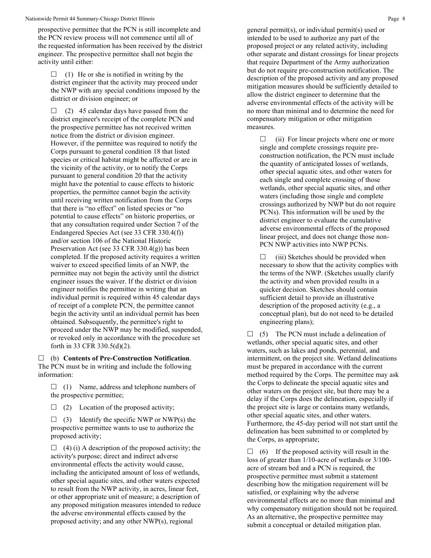prospective permittee that the PCN is still incomplete and the PCN review process will not commence until all of the requested information has been received by the district engineer. The prospective permittee shall not begin the activity until either:

 $\Box$  (1) He or she is notified in writing by the district engineer that the activity may proceed under the NWP with any special conditions imposed by the district or division engineer; or

 $\Box$  (2) 45 calendar days have passed from the district engineer's receipt of the complete PCN and the prospective permittee has not received written notice from the district or division engineer. However, if the permittee was required to notify the Corps pursuant to general condition 18 that listed species or critical habitat might be affected or are in the vicinity of the activity, or to notify the Corps pursuant to general condition 20 that the activity might have the potential to cause effects to historic properties, the permittee cannot begin the activity until receiving written notification from the Corps that there is "no effect" on listed species or "no potential to cause effects" on historic properties, or that any consultation required under Section 7 of the Endangered Species Act (see 33 CFR 330.4(f)) and/or section 106 of the National Historic Preservation Act (see 33 CFR 330.4(g)) has been completed. If the proposed activity requires a written waiver to exceed specified limits of an NWP, the permittee may not begin the activity until the district engineer issues the waiver. If the district or division engineer notifies the permittee in writing that an individual permit is required within 45 calendar days of receipt of a complete PCN, the permittee cannot begin the activity until an individual permit has been obtained. Subsequently, the permittee's right to proceed under the NWP may be modified, suspended, or revoked only in accordance with the procedure set forth in 33 CFR 330.5(d)(2).

 (b) **Contents of Pre-Construction Notification**. The PCN must be in writing and include the following information:

 $\Box$  (1) Name, address and telephone numbers of the prospective permittee;

 $\Box$  (2) Location of the proposed activity;

 $\Box$  (3) Identify the specific NWP or NWP(s) the prospective permittee wants to use to authorize the proposed activity;

 $\Box$  (4) (i) A description of the proposed activity; the activity's purpose; direct and indirect adverse environmental effects the activity would cause, including the anticipated amount of loss of wetlands, other special aquatic sites, and other waters expected to result from the NWP activity, in acres, linear feet, or other appropriate unit of measure; a description of any proposed mitigation measures intended to reduce the adverse environmental effects caused by the proposed activity; and any other NWP(s), regional

general permit(s), or individual permit(s) used or intended to be used to authorize any part of the proposed project or any related activity, including other separate and distant crossings for linear projects that require Department of the Army authorization but do not require pre-construction notification. The description of the proposed activity and any proposed mitigation measures should be sufficiently detailed to allow the district engineer to determine that the adverse environmental effects of the activity will be no more than minimal and to determine the need for compensatory mitigation or other mitigation measures.

 $\Box$  (ii) For linear projects where one or more single and complete crossings require preconstruction notification, the PCN must include the quantity of anticipated losses of wetlands, other special aquatic sites, and other waters for each single and complete crossing of those wetlands, other special aquatic sites, and other waters (including those single and complete crossings authorized by NWP but do not require PCNs). This information will be used by the district engineer to evaluate the cumulative adverse environmental effects of the proposed linear project, and does not change those non-PCN NWP activities into NWP PCNs.

 $\Box$  (iii) Sketches should be provided when necessary to show that the activity complies with the terms of the NWP. (Sketches usually clarify the activity and when provided results in a quicker decision. Sketches should contain sufficient detail to provide an illustrative description of the proposed activity (e.g., a conceptual plan), but do not need to be detailed engineering plans);

 $\Box$  (5) The PCN must include a delineation of wetlands, other special aquatic sites, and other waters, such as lakes and ponds, perennial, and intermittent, on the project site. Wetland delineations must be prepared in accordance with the current method required by the Corps. The permittee may ask the Corps to delineate the special aquatic sites and other waters on the project site, but there may be a delay if the Corps does the delineation, especially if the project site is large or contains many wetlands, other special aquatic sites, and other waters. Furthermore, the 45-day period will not start until the delineation has been submitted to or completed by the Corps, as appropriate;

 $\Box$  (6) If the proposed activity will result in the loss of greater than 1/10-acre of wetlands or 3/100 acre of stream bed and a PCN is required, the prospective permittee must submit a statement describing how the mitigation requirement will be satisfied, or explaining why the adverse environmental effects are no more than minimal and why compensatory mitigation should not be required. As an alternative, the prospective permittee may submit a conceptual or detailed mitigation plan.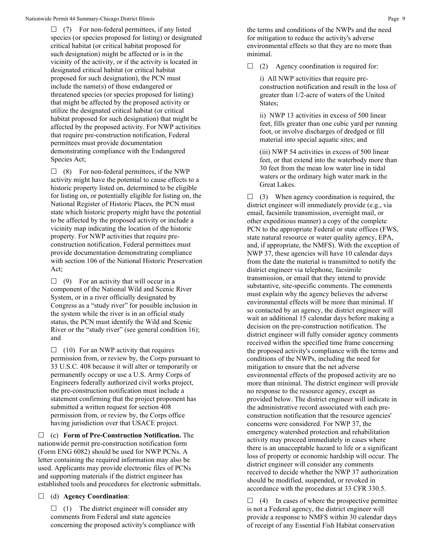$\Box$  (7) For non-federal permittees, if any listed species (or species proposed for listing) or designated critical habitat (or critical habitat proposed for such designation) might be affected or is in the vicinity of the activity, or if the activity is located in designated critical habitat (or critical habitat proposed for such designation), the PCN must include the name(s) of those endangered or threatened species (or species proposed for listing) that might be affected by the proposed activity or utilize the designated critical habitat (or critical habitat proposed for such designation) that might be affected by the proposed activity. For NWP activities that require pre-construction notification, Federal permittees must provide documentation demonstrating compliance with the Endangered Species Act;

 $\Box$  (8) For non-federal permittees, if the NWP activity might have the potential to cause effects to a historic property listed on, determined to be eligible for listing on, or potentially eligible for listing on, the National Register of Historic Places, the PCN must state which historic property might have the potential to be affected by the proposed activity or include a vicinity map indicating the location of the historic property. For NWP activities that require preconstruction notification, Federal permittees must provide documentation demonstrating compliance with section 106 of the National Historic Preservation Act;

 $\Box$  (9) For an activity that will occur in a component of the National Wild and Scenic River System, or in a river officially designated by Congress as a "study river" for possible inclusion in the system while the river is in an official study status, the PCN must identify the Wild and Scenic River or the "study river" (see general condition 16); and

 $\Box$  (10) For an NWP activity that requires permission from, or review by, the Corps pursuant to 33 U.S.C. 408 because it will alter or temporarily or permanently occupy or use a U.S. Army Corps of Engineers federally authorized civil works project, the pre-construction notification must include a statement confirming that the project proponent has submitted a written request for section 408 permission from, or review by, the Corps office having jurisdiction over that USACE project.

 (c) **Form of Pre-Construction Notification.** The nationwide permit pre-construction notification form (Form ENG 6082) should be used for NWP PCNs. A letter containing the required information may also be used. Applicants may provide electronic files of PCNs and supporting materials if the district engineer has established tools and procedures for electronic submittals.

(d) **Agency Coordination**:

 $\Box$  (1) The district engineer will consider any comments from Federal and state agencies concerning the proposed activity's compliance with the terms and conditions of the NWPs and the need for mitigation to reduce the activity's adverse environmental effects so that they are no more than minimal.

 $\Box$  (2) Agency coordination is required for:

i) All NWP activities that require preconstruction notification and result in the loss of greater than 1/2-acre of waters of the United States;

ii) NWP 13 activities in excess of 500 linear feet, fills greater than one cubic yard per running foot, or involve discharges of dredged or fill material into special aquatic sites; and

(iii) NWP 54 activities in excess of 500 linear feet, or that extend into the waterbody more than 30 feet from the mean low water line in tidal waters or the ordinary high water mark in the Great Lakes.

 $\Box$  (3) When agency coordination is required, the district engineer will immediately provide (e.g., via email, facsimile transmission, overnight mail, or other expeditious manner) a copy of the complete PCN to the appropriate Federal or state offices (FWS, state natural resource or water quality agency, EPA, and, if appropriate, the NMFS). With the exception of NWP 37, these agencies will have 10 calendar days from the date the material is transmitted to notify the district engineer via telephone, facsimile transmission, or email that they intend to provide substantive, site-specific comments. The comments must explain why the agency believes the adverse environmental effects will be more than minimal. If so contacted by an agency, the district engineer will wait an additional 15 calendar days before making a decision on the pre-construction notification. The district engineer will fully consider agency comments received within the specified time frame concerning the proposed activity's compliance with the terms and conditions of the NWPs, including the need for mitigation to ensure that the net adverse environmental effects of the proposed activity are no more than minimal. The district engineer will provide no response to the resource agency, except as provided below. The district engineer will indicate in the administrative record associated with each preconstruction notification that the resource agencies' concerns were considered. For NWP 37, the emergency watershed protection and rehabilitation activity may proceed immediately in cases where there is an unacceptable hazard to life or a significant loss of property or economic hardship will occur. The district engineer will consider any comments received to decide whether the NWP 37 authorization should be modified, suspended, or revoked in accordance with the procedures at 33 CFR 330.5.

 $\Box$  (4) In cases of where the prospective permittee is not a Federal agency, the district engineer will provide a response to NMFS within 30 calendar days of receipt of any Essential Fish Habitat conservation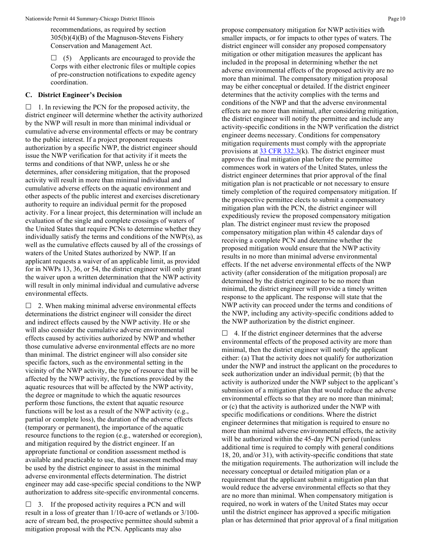recommendations, as required by section 305(b)(4)(B) of the Magnuson-Stevens Fishery Conservation and Management Act.

 $\Box$  (5) Applicants are encouraged to provide the Corps with either electronic files or multiple copies of pre-construction notifications to expedite agency coordination.

#### **C. District Engineer's Decision**

 $\Box$  1. In reviewing the PCN for the proposed activity, the district engineer will determine whether the activity authorized by the NWP will result in more than minimal individual or cumulative adverse environmental effects or may be contrary to the public interest. If a project proponent requests authorization by a specific NWP, the district engineer should issue the NWP verification for that activity if it meets the terms and conditions of that NWP, unless he or she determines, after considering mitigation, that the proposed activity will result in more than minimal individual and cumulative adverse effects on the aquatic environment and other aspects of the public interest and exercises discretionary authority to require an individual permit for the proposed activity. For a linear project, this determination will include an evaluation of the single and complete crossings of waters of the United States that require PCNs to determine whether they individually satisfy the terms and conditions of the NWP(s), as well as the cumulative effects caused by all of the crossings of waters of the United States authorized by NWP. If an applicant requests a waiver of an applicable limit, as provided for in NWPs 13, 36, or 54, the district engineer will only grant the waiver upon a written determination that the NWP activity will result in only minimal individual and cumulative adverse environmental effects.

 $\Box$  2. When making minimal adverse environmental effects determinations the district engineer will consider the direct and indirect effects caused by the NWP activity. He or she will also consider the cumulative adverse environmental effects caused by activities authorized by NWP and whether those cumulative adverse environmental effects are no more than minimal. The district engineer will also consider site specific factors, such as the environmental setting in the vicinity of the NWP activity, the type of resource that will be affected by the NWP activity, the functions provided by the aquatic resources that will be affected by the NWP activity, the degree or magnitude to which the aquatic resources perform those functions, the extent that aquatic resource functions will be lost as a result of the NWP activity (e.g., partial or complete loss), the duration of the adverse effects (temporary or permanent), the importance of the aquatic resource functions to the region (e.g., watershed or ecoregion), and mitigation required by the district engineer. If an appropriate functional or condition assessment method is available and practicable to use, that assessment method may be used by the district engineer to assist in the minimal adverse environmental effects determination. The district engineer may add case-specific special conditions to the NWP authorization to address site-specific environmental concerns.

 $\Box$  3. If the proposed activity requires a PCN and will result in a loss of greater than 1/10-acre of wetlands or 3/100 acre of stream bed, the prospective permittee should submit a mitigation proposal with the PCN. Applicants may also

propose compensatory mitigation for NWP activities with smaller impacts, or for impacts to other types of waters. The district engineer will consider any proposed compensatory mitigation or other mitigation measures the applicant has included in the proposal in determining whether the net adverse environmental effects of the proposed activity are no more than minimal. The compensatory mitigation proposal may be either conceptual or detailed. If the district engineer determines that the activity complies with the terms and conditions of the NWP and that the adverse environmental effects are no more than minimal, after considering mitigation, the district engineer will notify the permittee and include any activity-specific conditions in the NWP verification the district engineer deems necessary. Conditions for compensatory mitigation requirements must comply with the appropriate provisions at  $33 \text{ CFR } 332.3(k)$ . The district engineer must approve the final mitigation plan before the permittee commences work in waters of the United States, unless the district engineer determines that prior approval of the final mitigation plan is not practicable or not necessary to ensure timely completion of the required compensatory mitigation. If the prospective permittee elects to submit a compensatory mitigation plan with the PCN, the district engineer will expeditiously review the proposed compensatory mitigation plan. The district engineer must review the proposed compensatory mitigation plan within 45 calendar days of receiving a complete PCN and determine whether the proposed mitigation would ensure that the NWP activity results in no more than minimal adverse environmental effects. If the net adverse environmental effects of the NWP activity (after consideration of the mitigation proposal) are determined by the district engineer to be no more than minimal, the district engineer will provide a timely written response to the applicant. The response will state that the NWP activity can proceed under the terms and conditions of the NWP, including any activity-specific conditions added to the NWP authorization by the district engineer.

 $\Box$  4. If the district engineer determines that the adverse environmental effects of the proposed activity are more than minimal, then the district engineer will notify the applicant either: (a) That the activity does not qualify for authorization under the NWP and instruct the applicant on the procedures to seek authorization under an individual permit; (b) that the activity is authorized under the NWP subject to the applicant's submission of a mitigation plan that would reduce the adverse environmental effects so that they are no more than minimal; or (c) that the activity is authorized under the NWP with specific modifications or conditions. Where the district engineer determines that mitigation is required to ensure no more than minimal adverse environmental effects, the activity will be authorized within the 45-day PCN period (unless additional time is required to comply with general conditions 18, 20, and/or 31), with activity-specific conditions that state the mitigation requirements. The authorization will include the necessary conceptual or detailed mitigation plan or a requirement that the applicant submit a mitigation plan that would reduce the adverse environmental effects so that they are no more than minimal. When compensatory mitigation is required, no work in waters of the United States may occur until the district engineer has approved a specific mitigation plan or has determined that prior approval of a final mitigation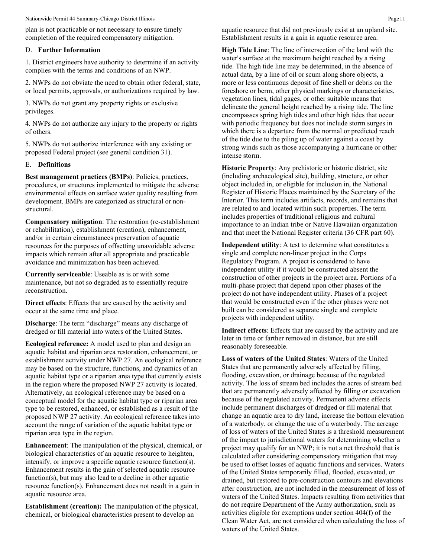plan is not practicable or not necessary to ensure timely completion of the required compensatory mitigation.

#### D. **Further Information**

1. District engineers have authority to determine if an activity complies with the terms and conditions of an NWP.

2. NWPs do not obviate the need to obtain other federal, state, or local permits, approvals, or authorizations required by law.

3. NWPs do not grant any property rights or exclusive privileges.

4. NWPs do not authorize any injury to the property or rights of others.

5. NWPs do not authorize interference with any existing or proposed Federal project (see general condition 31).

#### E. **Definitions**

**Best management practices (BMPs)**: Policies, practices, procedures, or structures implemented to mitigate the adverse environmental effects on surface water quality resulting from development. BMPs are categorized as structural or nonstructural.

**Compensatory mitigation**: The restoration (re-establishment or rehabilitation), establishment (creation), enhancement, and/or in certain circumstances preservation of aquatic resources for the purposes of offsetting unavoidable adverse impacts which remain after all appropriate and practicable avoidance and minimization has been achieved.

**Currently serviceable**: Useable as is or with some maintenance, but not so degraded as to essentially require reconstruction.

**Direct effects**: Effects that are caused by the activity and occur at the same time and place.

**Discharge**: The term "discharge" means any discharge of dredged or fill material into waters of the United States.

**Ecological reference:** A model used to plan and design an aquatic habitat and riparian area restoration, enhancement, or establishment activity under NWP 27. An ecological reference may be based on the structure, functions, and dynamics of an aquatic habitat type or a riparian area type that currently exists in the region where the proposed NWP 27 activity is located. Alternatively, an ecological reference may be based on a conceptual model for the aquatic habitat type or riparian area type to be restored, enhanced, or established as a result of the proposed NWP 27 activity. An ecological reference takes into account the range of variation of the aquatic habitat type or riparian area type in the region.

**Enhancement**: The manipulation of the physical, chemical, or biological characteristics of an aquatic resource to heighten, intensify, or improve a specific aquatic resource function(s). Enhancement results in the gain of selected aquatic resource function(s), but may also lead to a decline in other aquatic resource function(s). Enhancement does not result in a gain in aquatic resource area.

**Establishment (creation):** The manipulation of the physical, chemical, or biological characteristics present to develop an

aquatic resource that did not previously exist at an upland site. Establishment results in a gain in aquatic resource area.

**High Tide Line**: The line of intersection of the land with the water's surface at the maximum height reached by a rising tide. The high tide line may be determined, in the absence of actual data, by a line of oil or scum along shore objects, a more or less continuous deposit of fine shell or debris on the foreshore or berm, other physical markings or characteristics, vegetation lines, tidal gages, or other suitable means that delineate the general height reached by a rising tide. The line encompasses spring high tides and other high tides that occur with periodic frequency but does not include storm surges in which there is a departure from the normal or predicted reach of the tide due to the piling up of water against a coast by strong winds such as those accompanying a hurricane or other intense storm.

**Historic Property**: Any prehistoric or historic district, site (including archaeological site), building, structure, or other object included in, or eligible for inclusion in, the National Register of Historic Places maintained by the Secretary of the Interior. This term includes artifacts, records, and remains that are related to and located within such properties. The term includes properties of traditional religious and cultural importance to an Indian tribe or Native Hawaiian organization and that meet the National Register criteria (36 CFR part 60).

**Independent utility**: A test to determine what constitutes a single and complete non-linear project in the Corps Regulatory Program. A project is considered to have independent utility if it would be constructed absent the construction of other projects in the project area. Portions of a multi-phase project that depend upon other phases of the project do not have independent utility. Phases of a project that would be constructed even if the other phases were not built can be considered as separate single and complete projects with independent utility.

**Indirect effects**: Effects that are caused by the activity and are later in time or farther removed in distance, but are still reasonably foreseeable.

**Loss of waters of the United States**: Waters of the United States that are permanently adversely affected by filling, flooding, excavation, or drainage because of the regulated activity. The loss of stream bed includes the acres of stream bed that are permanently adversely affected by filling or excavation because of the regulated activity. Permanent adverse effects include permanent discharges of dredged or fill material that change an aquatic area to dry land, increase the bottom elevation of a waterbody, or change the use of a waterbody. The acreage of loss of waters of the United States is a threshold measurement of the impact to jurisdictional waters for determining whether a project may qualify for an NWP; it is not a net threshold that is calculated after considering compensatory mitigation that may be used to offset losses of aquatic functions and services. Waters of the United States temporarily filled, flooded, excavated, or drained, but restored to pre-construction contours and elevations after construction, are not included in the measurement of loss of waters of the United States. Impacts resulting from activities that do not require Department of the Army authorization, such as activities eligible for exemptions under section 404(f) of the Clean Water Act, are not considered when calculating the loss of waters of the United States.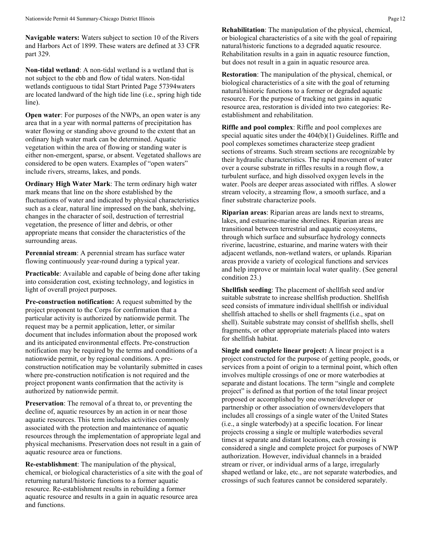**Navigable waters:** Waters subject to section 10 of the Rivers and Harbors Act of 1899. These waters are defined at 33 CFR part 329.

**Non-tidal wetland**: A non-tidal wetland is a wetland that is not subject to the ebb and flow of tidal waters. Non-tidal wetlands contiguous to tidal Start Printed Page 57394waters are located landward of the high tide line (i.e., spring high tide line).

**Open water:** For purposes of the NWPs, an open water is any area that in a year with normal patterns of precipitation has water flowing or standing above ground to the extent that an ordinary high water mark can be determined. Aquatic vegetation within the area of flowing or standing water is either non-emergent, sparse, or absent. Vegetated shallows are considered to be open waters. Examples of "open waters" include rivers, streams, lakes, and ponds.

**Ordinary High Water Mark**: The term ordinary high water mark means that line on the shore established by the fluctuations of water and indicated by physical characteristics such as a clear, natural line impressed on the bank, shelving, changes in the character of soil, destruction of terrestrial vegetation, the presence of litter and debris, or other appropriate means that consider the characteristics of the surrounding areas.

**Perennial stream**: A perennial stream has surface water flowing continuously year-round during a typical year.

**Practicable**: Available and capable of being done after taking into consideration cost, existing technology, and logistics in light of overall project purposes.

**Pre-construction notification:** A request submitted by the project proponent to the Corps for confirmation that a particular activity is authorized by nationwide permit. The request may be a permit application, letter, or similar document that includes information about the proposed work and its anticipated environmental effects. Pre-construction notification may be required by the terms and conditions of a nationwide permit, or by regional conditions. A preconstruction notification may be voluntarily submitted in cases where pre-construction notification is not required and the project proponent wants confirmation that the activity is authorized by nationwide permit.

**Preservation**: The removal of a threat to, or preventing the decline of, aquatic resources by an action in or near those aquatic resources. This term includes activities commonly associated with the protection and maintenance of aquatic resources through the implementation of appropriate legal and physical mechanisms. Preservation does not result in a gain of aquatic resource area or functions.

**Re-establishment**: The manipulation of the physical, chemical, or biological characteristics of a site with the goal of returning natural/historic functions to a former aquatic resource. Re-establishment results in rebuilding a former aquatic resource and results in a gain in aquatic resource area and functions.

**Rehabilitation**: The manipulation of the physical, chemical, or biological characteristics of a site with the goal of repairing natural/historic functions to a degraded aquatic resource. Rehabilitation results in a gain in aquatic resource function, but does not result in a gain in aquatic resource area.

**Restoration**: The manipulation of the physical, chemical, or biological characteristics of a site with the goal of returning natural/historic functions to a former or degraded aquatic resource. For the purpose of tracking net gains in aquatic resource area, restoration is divided into two categories: Reestablishment and rehabilitation.

**Riffle and pool complex**: Riffle and pool complexes are special aquatic sites under the 404(b)(1) Guidelines. Riffle and pool complexes sometimes characterize steep gradient sections of streams. Such stream sections are recognizable by their hydraulic characteristics. The rapid movement of water over a course substrate in riffles results in a rough flow, a turbulent surface, and high dissolved oxygen levels in the water. Pools are deeper areas associated with riffles. A slower stream velocity, a streaming flow, a smooth surface, and a finer substrate characterize pools.

**Riparian areas**: Riparian areas are lands next to streams, lakes, and estuarine-marine shorelines. Riparian areas are transitional between terrestrial and aquatic ecosystems, through which surface and subsurface hydrology connects riverine, lacustrine, estuarine, and marine waters with their adjacent wetlands, non-wetland waters, or uplands. Riparian areas provide a variety of ecological functions and services and help improve or maintain local water quality. (See general condition 23.)

**Shellfish seeding**: The placement of shellfish seed and/or suitable substrate to increase shellfish production. Shellfish seed consists of immature individual shellfish or individual shellfish attached to shells or shell fragments (i.e., spat on shell). Suitable substrate may consist of shellfish shells, shell fragments, or other appropriate materials placed into waters for shellfish habitat.

**Single and complete linear project:** A linear project is a project constructed for the purpose of getting people, goods, or services from a point of origin to a terminal point, which often involves multiple crossings of one or more waterbodies at separate and distant locations. The term "single and complete project" is defined as that portion of the total linear project proposed or accomplished by one owner/developer or partnership or other association of owners/developers that includes all crossings of a single water of the United States (i.e., a single waterbody) at a specific location. For linear projects crossing a single or multiple waterbodies several times at separate and distant locations, each crossing is considered a single and complete project for purposes of NWP authorization. However, individual channels in a braided stream or river, or individual arms of a large, irregularly shaped wetland or lake, etc., are not separate waterbodies, and crossings of such features cannot be considered separately.